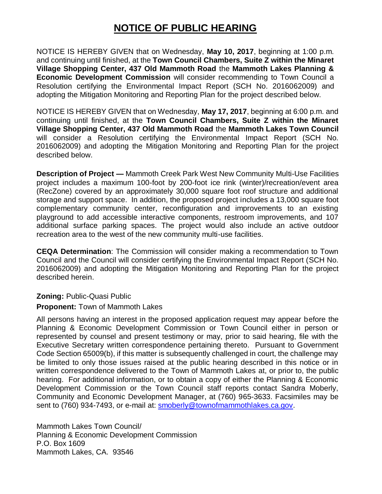## **NOTICE OF PUBLIC HEARING**

NOTICE IS HEREBY GIVEN that on Wednesday, **May 10, 2017**, beginning at 1:00 p.m. and continuing until finished, at the **Town Council Chambers, Suite Z within the Minaret Village Shopping Center, 437 Old Mammoth Road** the **Mammoth Lakes Planning & Economic Development Commission** will consider recommending to Town Council a Resolution certifying the Environmental Impact Report (SCH No. 2016062009) and adopting the Mitigation Monitoring and Reporting Plan for the project described below.

NOTICE IS HEREBY GIVEN that on Wednesday, **May 17, 2017**, beginning at 6:00 p.m. and continuing until finished, at the **Town Council Chambers, Suite Z within the Minaret Village Shopping Center, 437 Old Mammoth Road** the **Mammoth Lakes Town Council**  will consider a Resolution certifying the Environmental Impact Report (SCH No. 2016062009) and adopting the Mitigation Monitoring and Reporting Plan for the project described below.

**Description of Project —** Mammoth Creek Park West New Community Multi-Use Facilities project includes a maximum 100-foot by 200-foot ice rink (winter)/recreation/event area (RecZone) covered by an approximately 30,000 square foot roof structure and additional storage and support space. In addition, the proposed project includes a 13,000 square foot complementary community center, reconfiguration and improvements to an existing playground to add accessible interactive components, restroom improvements, and 107 additional surface parking spaces. The project would also include an active outdoor recreation area to the west of the new community multi-use facilities.

**CEQA Determination**: The Commission will consider making a recommendation to Town Council and the Council will consider certifying the Environmental Impact Report (SCH No. 2016062009) and adopting the Mitigation Monitoring and Reporting Plan for the project described herein.

**Zoning:** Public-Quasi Public

## **Proponent:** Town of Mammoth Lakes

All persons having an interest in the proposed application request may appear before the Planning & Economic Development Commission or Town Council either in person or represented by counsel and present testimony or may, prior to said hearing, file with the Executive Secretary written correspondence pertaining thereto. Pursuant to Government Code Section 65009(b), if this matter is subsequently challenged in court, the challenge may be limited to only those issues raised at the public hearing described in this notice or in written correspondence delivered to the Town of Mammoth Lakes at, or prior to, the public hearing. For additional information, or to obtain a copy of either the Planning & Economic Development Commission or the Town Council staff reports contact Sandra Moberly, Community and Economic Development Manager, at (760) 965-3633. Facsimiles may be sent to (760) 934-7493, or e-mail at: [smoberly@townofmammothlakes.ca.gov.](mailto:smoberly@townofmammothlakes.ca.gov)

Mammoth Lakes Town Council/ Planning & Economic Development Commission P.O. Box 1609 Mammoth Lakes, CA. 93546